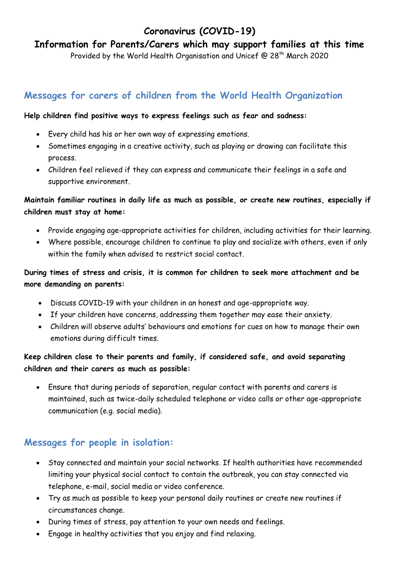# **Coronavirus (COVID-19)**

**Information for Parents/Carers which may support families at this time**

Provided by the World Health Organisation and Unicef @ 28<sup>th</sup> March 2020

### **Messages for carers of children from the World Health Organization**

#### **Help children find positive ways to express feelings such as fear and sadness:**

- Every child has his or her own way of expressing emotions.
- Sometimes engaging in a creative activity, such as playing or drawing can facilitate this process.
- Children feel relieved if they can express and communicate their feelings in a safe and supportive environment.

### **Maintain familiar routines in daily life as much as possible, or create new routines, especially if children must stay at home:**

- Provide engaging age-appropriate activities for children, including activities for their learning.
- Where possible, encourage children to continue to play and socialize with others, even if only within the family when advised to restrict social contact.

#### **During times of stress and crisis, it is common for children to seek more attachment and be more demanding on parents:**

- Discuss COVID-19 with your children in an honest and age-appropriate way.
- If your children have concerns, addressing them together may ease their anxiety.
- Children will observe adults' behaviours and emotions for cues on how to manage their own emotions during difficult times.

### **Keep children close to their parents and family, if considered safe, and avoid separating children and their carers as much as possible:**

 Ensure that during periods of separation, regular contact with parents and carers is maintained, such as twice-daily scheduled telephone or video calls or other age-appropriate communication (e.g. social media).

## **Messages for people in isolation:**

- Stay connected and maintain your social networks. If health authorities have recommended limiting your physical social contact to contain the outbreak, you can stay connected via telephone, e-mail, social media or video conference.
- Try as much as possible to keep your personal daily routines or create new routines if circumstances change.
- During times of stress, pay attention to your own needs and feelings.
- Engage in healthy activities that you enjoy and find relaxing.